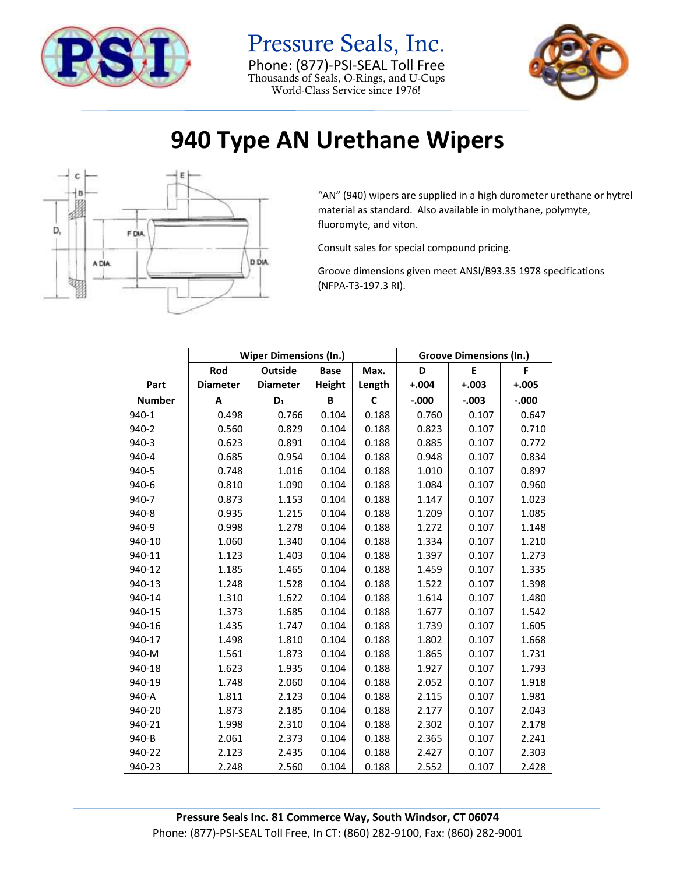

Pressure Seals, Inc. Phone: (877)-PSI-SEAL Toll Free Thousands of Seals, O-Rings, and U-Cups World-Class Service since 1976!



## **940 Type AN Urethane Wipers**



"AN" (940) wipers are supplied in a high durometer urethane or hytrel material as standard. Also available in molythane, polymyte, fluoromyte, and viton.

Consult sales for special compound pricing.

Groove dimensions given meet ANSI/B93.35 1978 specifications (NFPA-T3-197.3 RI).

|               | <b>Wiper Dimensions (In.)</b> |                 |             |        | <b>Groove Dimensions (In.)</b> |         |          |
|---------------|-------------------------------|-----------------|-------------|--------|--------------------------------|---------|----------|
|               | Rod                           | <b>Outside</b>  | <b>Base</b> | Max.   | D                              | E       | F        |
| Part          | <b>Diameter</b>               | <b>Diameter</b> | Height      | Length | $+.004$                        | $+.003$ | $+.005$  |
| <b>Number</b> | Α                             | $D_1$           | B           | C      | $-0.000$                       | $-.003$ | $-0.000$ |
| 940-1         | 0.498                         | 0.766           | 0.104       | 0.188  | 0.760                          | 0.107   | 0.647    |
| 940-2         | 0.560                         | 0.829           | 0.104       | 0.188  | 0.823                          | 0.107   | 0.710    |
| 940-3         | 0.623                         | 0.891           | 0.104       | 0.188  | 0.885                          | 0.107   | 0.772    |
| 940-4         | 0.685                         | 0.954           | 0.104       | 0.188  | 0.948                          | 0.107   | 0.834    |
| 940-5         | 0.748                         | 1.016           | 0.104       | 0.188  | 1.010                          | 0.107   | 0.897    |
| 940-6         | 0.810                         | 1.090           | 0.104       | 0.188  | 1.084                          | 0.107   | 0.960    |
| 940-7         | 0.873                         | 1.153           | 0.104       | 0.188  | 1.147                          | 0.107   | 1.023    |
| 940-8         | 0.935                         | 1.215           | 0.104       | 0.188  | 1.209                          | 0.107   | 1.085    |
| 940-9         | 0.998                         | 1.278           | 0.104       | 0.188  | 1.272                          | 0.107   | 1.148    |
| 940-10        | 1.060                         | 1.340           | 0.104       | 0.188  | 1.334                          | 0.107   | 1.210    |
| 940-11        | 1.123                         | 1.403           | 0.104       | 0.188  | 1.397                          | 0.107   | 1.273    |
| 940-12        | 1.185                         | 1.465           | 0.104       | 0.188  | 1.459                          | 0.107   | 1.335    |
| 940-13        | 1.248                         | 1.528           | 0.104       | 0.188  | 1.522                          | 0.107   | 1.398    |
| 940-14        | 1.310                         | 1.622           | 0.104       | 0.188  | 1.614                          | 0.107   | 1.480    |
| 940-15        | 1.373                         | 1.685           | 0.104       | 0.188  | 1.677                          | 0.107   | 1.542    |
| 940-16        | 1.435                         | 1.747           | 0.104       | 0.188  | 1.739                          | 0.107   | 1.605    |
| 940-17        | 1.498                         | 1.810           | 0.104       | 0.188  | 1.802                          | 0.107   | 1.668    |
| 940-M         | 1.561                         | 1.873           | 0.104       | 0.188  | 1.865                          | 0.107   | 1.731    |
| 940-18        | 1.623                         | 1.935           | 0.104       | 0.188  | 1.927                          | 0.107   | 1.793    |
| 940-19        | 1.748                         | 2.060           | 0.104       | 0.188  | 2.052                          | 0.107   | 1.918    |
| 940-A         | 1.811                         | 2.123           | 0.104       | 0.188  | 2.115                          | 0.107   | 1.981    |
| 940-20        | 1.873                         | 2.185           | 0.104       | 0.188  | 2.177                          | 0.107   | 2.043    |
| 940-21        | 1.998                         | 2.310           | 0.104       | 0.188  | 2.302                          | 0.107   | 2.178    |
| 940-B         | 2.061                         | 2.373           | 0.104       | 0.188  | 2.365                          | 0.107   | 2.241    |
| 940-22        | 2.123                         | 2.435           | 0.104       | 0.188  | 2.427                          | 0.107   | 2.303    |
| 940-23        | 2.248                         | 2.560           | 0.104       | 0.188  | 2.552                          | 0.107   | 2.428    |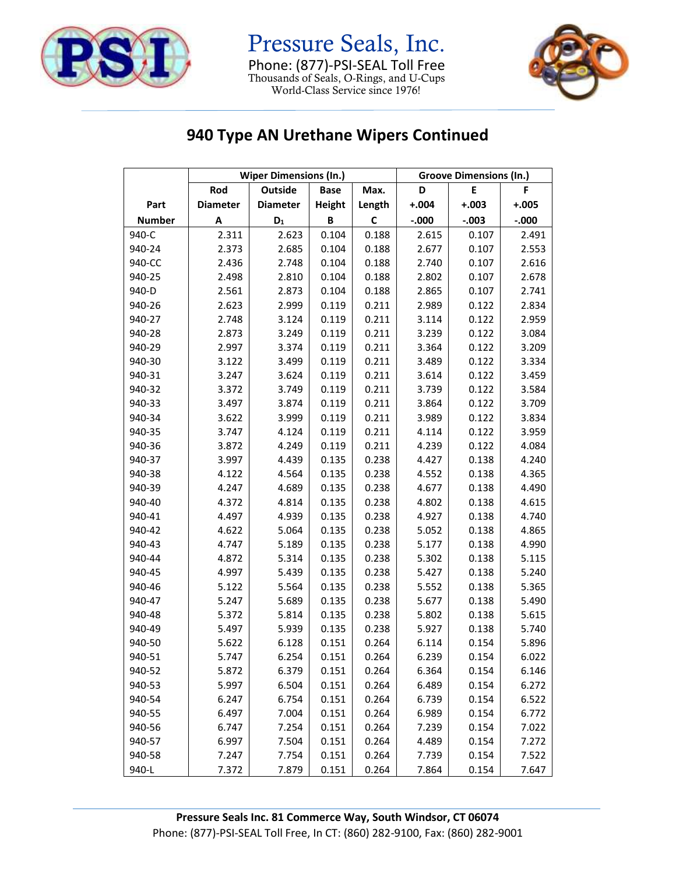

Pressure Seals, Inc. Phone: (877)-PSI-SEAL Toll Free Thousands of Seals, O-Rings, and U-Cups World-Class Service since 1976!



## **940 Type AN Urethane Wipers Continued**

|               | <b>Wiper Dimensions (In.)</b> |                 |               | <b>Groove Dimensions (In.)</b> |         |         |         |
|---------------|-------------------------------|-----------------|---------------|--------------------------------|---------|---------|---------|
|               | Rod                           | Outside         | <b>Base</b>   | Max.                           | D       | E       | F       |
| Part          | <b>Diameter</b>               | <b>Diameter</b> | <b>Height</b> | Length                         | $+.004$ | $+.003$ | $+.005$ |
| <b>Number</b> | Α                             | $\mathsf{D}_1$  | B             | C                              | $-.000$ | $-.003$ | $-.000$ |
| 940-C         | 2.311                         | 2.623           | 0.104         | 0.188                          | 2.615   | 0.107   | 2.491   |
| 940-24        | 2.373                         | 2.685           | 0.104         | 0.188                          | 2.677   | 0.107   | 2.553   |
| 940-CC        | 2.436                         | 2.748           | 0.104         | 0.188                          | 2.740   | 0.107   | 2.616   |
| 940-25        | 2.498                         | 2.810           | 0.104         | 0.188                          | 2.802   | 0.107   | 2.678   |
| 940-D         | 2.561                         | 2.873           | 0.104         | 0.188                          | 2.865   | 0.107   | 2.741   |
| 940-26        | 2.623                         | 2.999           | 0.119         | 0.211                          | 2.989   | 0.122   | 2.834   |
| 940-27        | 2.748                         | 3.124           | 0.119         | 0.211                          | 3.114   | 0.122   | 2.959   |
| 940-28        | 2.873                         | 3.249           | 0.119         | 0.211                          | 3.239   | 0.122   | 3.084   |
| 940-29        | 2.997                         | 3.374           | 0.119         | 0.211                          | 3.364   | 0.122   | 3.209   |
| 940-30        | 3.122                         | 3.499           | 0.119         | 0.211                          | 3.489   | 0.122   | 3.334   |
| 940-31        | 3.247                         | 3.624           | 0.119         | 0.211                          | 3.614   | 0.122   | 3.459   |
| 940-32        | 3.372                         | 3.749           | 0.119         | 0.211                          | 3.739   | 0.122   | 3.584   |
| 940-33        | 3.497                         | 3.874           | 0.119         | 0.211                          | 3.864   | 0.122   | 3.709   |
| 940-34        | 3.622                         | 3.999           | 0.119         | 0.211                          | 3.989   | 0.122   | 3.834   |
| 940-35        | 3.747                         | 4.124           | 0.119         | 0.211                          | 4.114   | 0.122   | 3.959   |
| 940-36        | 3.872                         | 4.249           | 0.119         | 0.211                          | 4.239   | 0.122   | 4.084   |
| 940-37        | 3.997                         | 4.439           | 0.135         | 0.238                          | 4.427   | 0.138   | 4.240   |
| 940-38        | 4.122                         | 4.564           | 0.135         | 0.238                          | 4.552   | 0.138   | 4.365   |
| 940-39        | 4.247                         | 4.689           | 0.135         | 0.238                          | 4.677   | 0.138   | 4.490   |
| 940-40        | 4.372                         | 4.814           | 0.135         | 0.238                          | 4.802   | 0.138   | 4.615   |
| 940-41        | 4.497                         | 4.939           | 0.135         | 0.238                          | 4.927   | 0.138   | 4.740   |
| 940-42        | 4.622                         | 5.064           | 0.135         | 0.238                          | 5.052   | 0.138   | 4.865   |
| 940-43        | 4.747                         | 5.189           | 0.135         | 0.238                          | 5.177   | 0.138   | 4.990   |
| 940-44        | 4.872                         | 5.314           | 0.135         | 0.238                          | 5.302   | 0.138   | 5.115   |
| 940-45        | 4.997                         | 5.439           | 0.135         | 0.238                          | 5.427   | 0.138   | 5.240   |
| 940-46        | 5.122                         | 5.564           | 0.135         | 0.238                          | 5.552   | 0.138   | 5.365   |
| 940-47        | 5.247                         | 5.689           | 0.135         | 0.238                          | 5.677   | 0.138   | 5.490   |
| 940-48        | 5.372                         | 5.814           | 0.135         | 0.238                          | 5.802   | 0.138   | 5.615   |
| 940-49        | 5.497                         | 5.939           | 0.135         | 0.238                          | 5.927   | 0.138   | 5.740   |
| 940-50        | 5.622                         | 6.128           | 0.151         | 0.264                          | 6.114   | 0.154   | 5.896   |
| 940-51        | 5.747                         | 6.254           | 0.151         | 0.264                          | 6.239   | 0.154   | 6.022   |
| 940-52        | 5.872                         | 6.379           | 0.151         | 0.264                          | 6.364   | 0.154   | 6.146   |
| 940-53        | 5.997                         | 6.504           | 0.151         | 0.264                          | 6.489   | 0.154   | 6.272   |
| 940-54        | 6.247                         | 6.754           | 0.151         | 0.264                          | 6.739   | 0.154   | 6.522   |
| 940-55        | 6.497                         | 7.004           | 0.151         | 0.264                          | 6.989   | 0.154   | 6.772   |
| 940-56        | 6.747                         | 7.254           | 0.151         | 0.264                          | 7.239   | 0.154   | 7.022   |
| 940-57        | 6.997                         | 7.504           | 0.151         | 0.264                          | 4.489   | 0.154   | 7.272   |
| 940-58        | 7.247                         | 7.754           | 0.151         | 0.264                          | 7.739   | 0.154   | 7.522   |
| 940-L         | 7.372                         | 7.879           | 0.151         | 0.264                          | 7.864   | 0.154   | 7.647   |